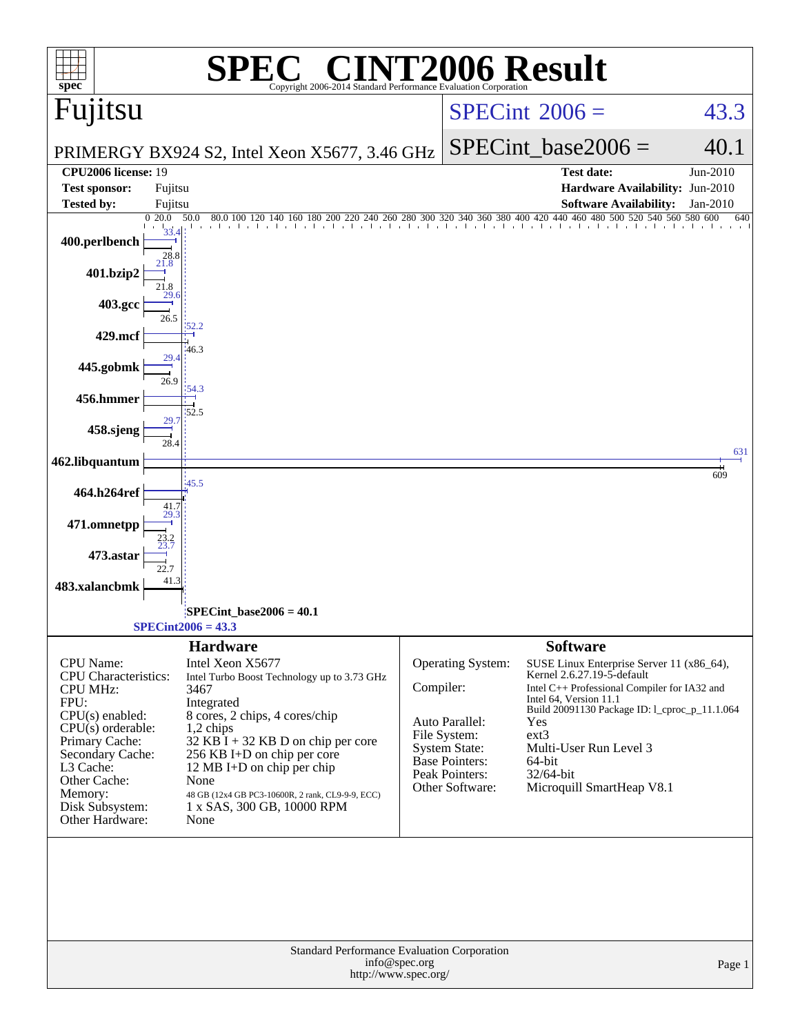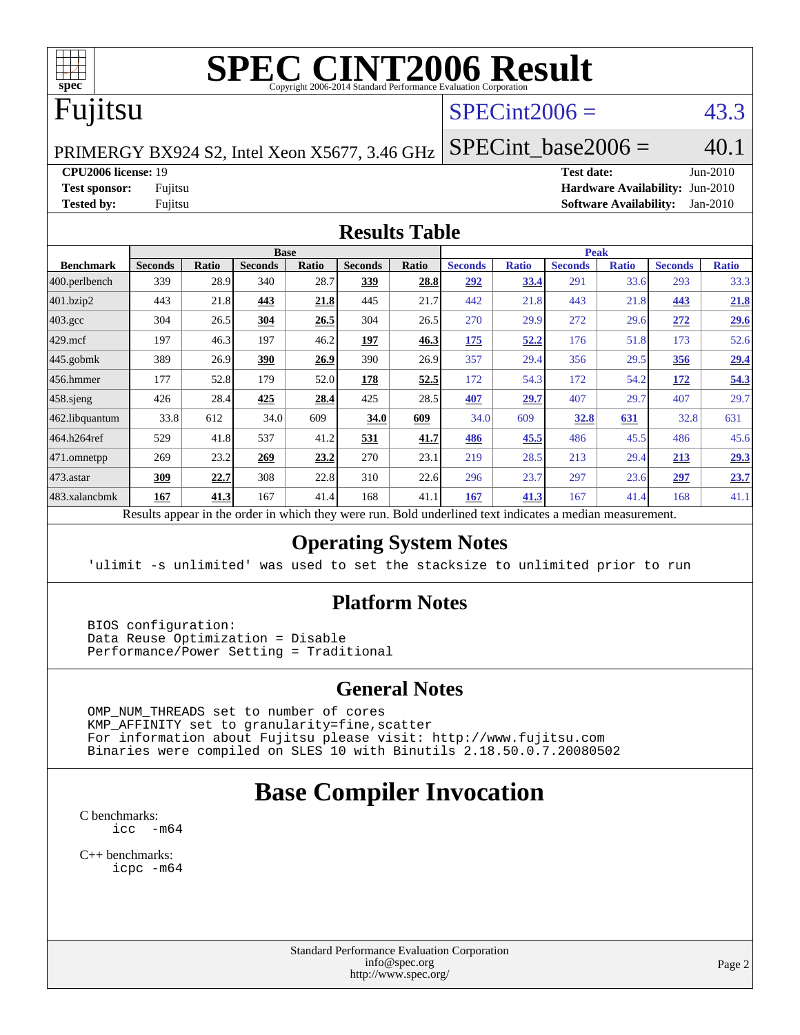

# **[SPEC CINT2006 Result](http://www.spec.org/auto/cpu2006/Docs/result-fields.html#SPECCINT2006Result)**

# Fujitsu

## $SPECint2006 = 43.3$  $SPECint2006 = 43.3$

PRIMERGY BX924 S2, Intel Xeon X5677, 3.46 GHz

SPECint base2006 =  $40.1$ 

#### **[CPU2006 license:](http://www.spec.org/auto/cpu2006/Docs/result-fields.html#CPU2006license)** 19 **[Test date:](http://www.spec.org/auto/cpu2006/Docs/result-fields.html#Testdate)** Jun-2010

**[Test sponsor:](http://www.spec.org/auto/cpu2006/Docs/result-fields.html#Testsponsor)** Fujitsu **[Hardware Availability:](http://www.spec.org/auto/cpu2006/Docs/result-fields.html#HardwareAvailability)** Jun-2010 **[Tested by:](http://www.spec.org/auto/cpu2006/Docs/result-fields.html#Testedby)** Fujitsu **[Software Availability:](http://www.spec.org/auto/cpu2006/Docs/result-fields.html#SoftwareAvailability)** Jan-2010

#### **[Results Table](http://www.spec.org/auto/cpu2006/Docs/result-fields.html#ResultsTable)**

| <b>Base</b>    |                               |                |              |                                     | <b>Peak</b> |                |              |                |              |                |              |
|----------------|-------------------------------|----------------|--------------|-------------------------------------|-------------|----------------|--------------|----------------|--------------|----------------|--------------|
| <b>Seconds</b> | <b>Ratio</b>                  | <b>Seconds</b> | <b>Ratio</b> | <b>Seconds</b>                      | Ratio       | <b>Seconds</b> | <b>Ratio</b> | <b>Seconds</b> | <b>Ratio</b> | <b>Seconds</b> | <b>Ratio</b> |
| 339            | 28.9                          | 340            | 28.7         | 339                                 | 28.8        | 292            | 33.4         | 291            | 33.6         | 293            | 33.3         |
| 443            | 21.8                          | 443            | 21.8         | 445                                 | 21.7        | 442            | 21.8         | 443            | 21.8         | 443            | 21.8         |
| 304            | 26.5                          | 304            | 26.5         | 304                                 | 26.5        | 270            | 29.9         | 272            | 29.6         | 272            | 29.6         |
| 197            | 46.3                          | 197            | 46.2         | 197                                 | 46.3        | 175            | 52.2         | 176            | 51.8         | 173            | 52.6         |
| 389            | 26.9                          | 390            | 26.9         | 390                                 | 26.9        | 357            | 29.4         | 356            | 29.5         | 356            | 29.4         |
| 177            | 52.8                          | 179            | 52.0         | 178                                 | 52.5        | 172            | 54.3         | 172            | 54.2         | <u>172</u>     | 54.3         |
| 426            | 28.4                          | 425            | 28.4         | 425                                 | 28.5        | 407            | 29.7         | 407            | 29.7         | 407            | 29.7         |
| 33.8           | 612                           | 34.0           | 609          | 34.0                                | 609         | 34.0           | 609          | 32.8           | 631          | 32.8           | 631          |
| 529            | 41.8                          | 537            | 41.2         | 531                                 | 41.7        | 486            | 45.5         | 486            | 45.5         | 486            | 45.6         |
| 269            | 23.2                          | 269            | 23.2         | 270                                 | 23.1        | 219            | 28.5         | 213            | 29.4         | 213            | 29.3         |
| 309            | 22.7                          | 308            | 22.8         | 310                                 | 22.6        | 296            | 23.7         | 297            | 23.6         | 297            | 23.7         |
| 167            | 41.3                          | 167            | 41.4         | 168                                 | 41.1        | 167            | 41.3         | 167            | 41.4         | 168            | 41.1         |
|                | $\mathbf{D} \cdot \mathbf{A}$ |                |              | 2.11<br>1.1.1.1<br>$\rightarrow$ 1. |             |                |              |                |              |                |              |

Results appear in the [order in which they were run.](http://www.spec.org/auto/cpu2006/Docs/result-fields.html#RunOrder) Bold underlined text [indicates a median measurement.](http://www.spec.org/auto/cpu2006/Docs/result-fields.html#Median)

#### **[Operating System Notes](http://www.spec.org/auto/cpu2006/Docs/result-fields.html#OperatingSystemNotes)**

'ulimit -s unlimited' was used to set the stacksize to unlimited prior to run

#### **[Platform Notes](http://www.spec.org/auto/cpu2006/Docs/result-fields.html#PlatformNotes)**

 BIOS configuration: Data Reuse Optimization = Disable Performance/Power Setting = Traditional

#### **[General Notes](http://www.spec.org/auto/cpu2006/Docs/result-fields.html#GeneralNotes)**

 OMP\_NUM\_THREADS set to number of cores KMP\_AFFINITY set to granularity=fine,scatter For information about Fujitsu please visit: <http://www.fujitsu.com> Binaries were compiled on SLES 10 with Binutils 2.18.50.0.7.20080502

# **[Base Compiler Invocation](http://www.spec.org/auto/cpu2006/Docs/result-fields.html#BaseCompilerInvocation)**

[C benchmarks](http://www.spec.org/auto/cpu2006/Docs/result-fields.html#Cbenchmarks):  $\text{icc}$   $-\text{m64}$ 

[C++ benchmarks:](http://www.spec.org/auto/cpu2006/Docs/result-fields.html#CXXbenchmarks) [icpc -m64](http://www.spec.org/cpu2006/results/res2010q3/cpu2006-20100702-12048.flags.html#user_CXXbase_intel_icpc_64bit_fc66a5337ce925472a5c54ad6a0de310)

> Standard Performance Evaluation Corporation [info@spec.org](mailto:info@spec.org) <http://www.spec.org/>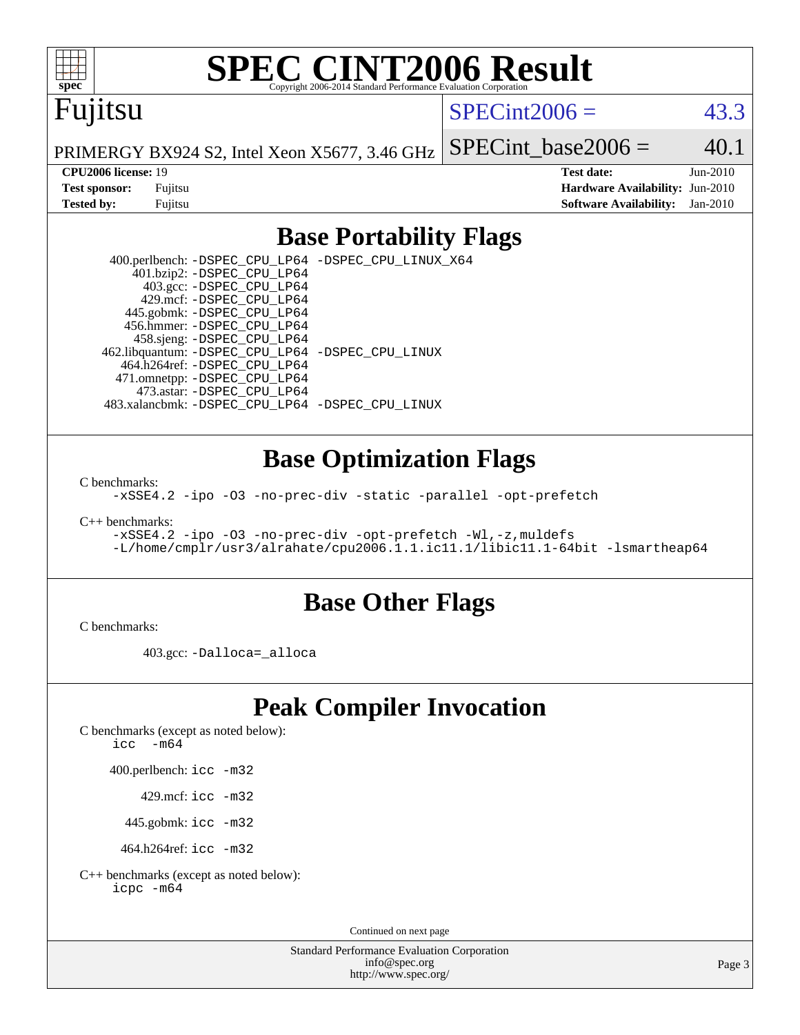

# **[SPEC CINT2006 Result](http://www.spec.org/auto/cpu2006/Docs/result-fields.html#SPECCINT2006Result)**

# Fujitsu

### $SPECint2006 = 43.3$  $SPECint2006 = 43.3$

PRIMERGY BX924 S2, Intel Xeon X5677, 3.46 GHz SPECint base2006 =  $40.1$ 

**[CPU2006 license:](http://www.spec.org/auto/cpu2006/Docs/result-fields.html#CPU2006license)** 19 **[Test date:](http://www.spec.org/auto/cpu2006/Docs/result-fields.html#Testdate)** Jun-2010 **[Test sponsor:](http://www.spec.org/auto/cpu2006/Docs/result-fields.html#Testsponsor)** Fujitsu **[Hardware Availability:](http://www.spec.org/auto/cpu2006/Docs/result-fields.html#HardwareAvailability)** Jun-2010 **[Tested by:](http://www.spec.org/auto/cpu2006/Docs/result-fields.html#Testedby)** Fujitsu **[Software Availability:](http://www.spec.org/auto/cpu2006/Docs/result-fields.html#SoftwareAvailability)** Jan-2010

## **[Base Portability Flags](http://www.spec.org/auto/cpu2006/Docs/result-fields.html#BasePortabilityFlags)**

 400.perlbench: [-DSPEC\\_CPU\\_LP64](http://www.spec.org/cpu2006/results/res2010q3/cpu2006-20100702-12048.flags.html#b400.perlbench_basePORTABILITY_DSPEC_CPU_LP64) [-DSPEC\\_CPU\\_LINUX\\_X64](http://www.spec.org/cpu2006/results/res2010q3/cpu2006-20100702-12048.flags.html#b400.perlbench_baseCPORTABILITY_DSPEC_CPU_LINUX_X64) 401.bzip2: [-DSPEC\\_CPU\\_LP64](http://www.spec.org/cpu2006/results/res2010q3/cpu2006-20100702-12048.flags.html#suite_basePORTABILITY401_bzip2_DSPEC_CPU_LP64) 403.gcc: [-DSPEC\\_CPU\\_LP64](http://www.spec.org/cpu2006/results/res2010q3/cpu2006-20100702-12048.flags.html#suite_basePORTABILITY403_gcc_DSPEC_CPU_LP64) 429.mcf: [-DSPEC\\_CPU\\_LP64](http://www.spec.org/cpu2006/results/res2010q3/cpu2006-20100702-12048.flags.html#suite_basePORTABILITY429_mcf_DSPEC_CPU_LP64) 445.gobmk: [-DSPEC\\_CPU\\_LP64](http://www.spec.org/cpu2006/results/res2010q3/cpu2006-20100702-12048.flags.html#suite_basePORTABILITY445_gobmk_DSPEC_CPU_LP64) 456.hmmer: [-DSPEC\\_CPU\\_LP64](http://www.spec.org/cpu2006/results/res2010q3/cpu2006-20100702-12048.flags.html#suite_basePORTABILITY456_hmmer_DSPEC_CPU_LP64) 458.sjeng: [-DSPEC\\_CPU\\_LP64](http://www.spec.org/cpu2006/results/res2010q3/cpu2006-20100702-12048.flags.html#suite_basePORTABILITY458_sjeng_DSPEC_CPU_LP64) 462.libquantum: [-DSPEC\\_CPU\\_LP64](http://www.spec.org/cpu2006/results/res2010q3/cpu2006-20100702-12048.flags.html#suite_basePORTABILITY462_libquantum_DSPEC_CPU_LP64) [-DSPEC\\_CPU\\_LINUX](http://www.spec.org/cpu2006/results/res2010q3/cpu2006-20100702-12048.flags.html#b462.libquantum_baseCPORTABILITY_DSPEC_CPU_LINUX) 464.h264ref: [-DSPEC\\_CPU\\_LP64](http://www.spec.org/cpu2006/results/res2010q3/cpu2006-20100702-12048.flags.html#suite_basePORTABILITY464_h264ref_DSPEC_CPU_LP64) 471.omnetpp: [-DSPEC\\_CPU\\_LP64](http://www.spec.org/cpu2006/results/res2010q3/cpu2006-20100702-12048.flags.html#suite_basePORTABILITY471_omnetpp_DSPEC_CPU_LP64) 473.astar: [-DSPEC\\_CPU\\_LP64](http://www.spec.org/cpu2006/results/res2010q3/cpu2006-20100702-12048.flags.html#suite_basePORTABILITY473_astar_DSPEC_CPU_LP64) 483.xalancbmk: [-DSPEC\\_CPU\\_LP64](http://www.spec.org/cpu2006/results/res2010q3/cpu2006-20100702-12048.flags.html#suite_basePORTABILITY483_xalancbmk_DSPEC_CPU_LP64) [-DSPEC\\_CPU\\_LINUX](http://www.spec.org/cpu2006/results/res2010q3/cpu2006-20100702-12048.flags.html#b483.xalancbmk_baseCXXPORTABILITY_DSPEC_CPU_LINUX)

### **[Base Optimization Flags](http://www.spec.org/auto/cpu2006/Docs/result-fields.html#BaseOptimizationFlags)**

[C benchmarks](http://www.spec.org/auto/cpu2006/Docs/result-fields.html#Cbenchmarks):

[-xSSE4.2](http://www.spec.org/cpu2006/results/res2010q3/cpu2006-20100702-12048.flags.html#user_CCbase_f-xSSE42_f91528193cf0b216347adb8b939d4107) [-ipo](http://www.spec.org/cpu2006/results/res2010q3/cpu2006-20100702-12048.flags.html#user_CCbase_f-ipo) [-O3](http://www.spec.org/cpu2006/results/res2010q3/cpu2006-20100702-12048.flags.html#user_CCbase_f-O3) [-no-prec-div](http://www.spec.org/cpu2006/results/res2010q3/cpu2006-20100702-12048.flags.html#user_CCbase_f-no-prec-div) [-static](http://www.spec.org/cpu2006/results/res2010q3/cpu2006-20100702-12048.flags.html#user_CCbase_f-static) [-parallel](http://www.spec.org/cpu2006/results/res2010q3/cpu2006-20100702-12048.flags.html#user_CCbase_f-parallel) [-opt-prefetch](http://www.spec.org/cpu2006/results/res2010q3/cpu2006-20100702-12048.flags.html#user_CCbase_f-opt-prefetch)

[C++ benchmarks:](http://www.spec.org/auto/cpu2006/Docs/result-fields.html#CXXbenchmarks)

[-xSSE4.2](http://www.spec.org/cpu2006/results/res2010q3/cpu2006-20100702-12048.flags.html#user_CXXbase_f-xSSE42_f91528193cf0b216347adb8b939d4107) [-ipo](http://www.spec.org/cpu2006/results/res2010q3/cpu2006-20100702-12048.flags.html#user_CXXbase_f-ipo) [-O3](http://www.spec.org/cpu2006/results/res2010q3/cpu2006-20100702-12048.flags.html#user_CXXbase_f-O3) [-no-prec-div](http://www.spec.org/cpu2006/results/res2010q3/cpu2006-20100702-12048.flags.html#user_CXXbase_f-no-prec-div) [-opt-prefetch](http://www.spec.org/cpu2006/results/res2010q3/cpu2006-20100702-12048.flags.html#user_CXXbase_f-opt-prefetch) [-Wl,-z,muldefs](http://www.spec.org/cpu2006/results/res2010q3/cpu2006-20100702-12048.flags.html#user_CXXbase_link_force_multiple1_74079c344b956b9658436fd1b6dd3a8a) [-L/home/cmplr/usr3/alrahate/cpu2006.1.1.ic11.1/libic11.1-64bit -lsmartheap64](http://www.spec.org/cpu2006/results/res2010q3/cpu2006-20100702-12048.flags.html#user_CXXbase_SmartHeap64_e2306cda84805d1ab360117a79ff779c)

#### **[Base Other Flags](http://www.spec.org/auto/cpu2006/Docs/result-fields.html#BaseOtherFlags)**

[C benchmarks](http://www.spec.org/auto/cpu2006/Docs/result-fields.html#Cbenchmarks):

403.gcc: [-Dalloca=\\_alloca](http://www.spec.org/cpu2006/results/res2010q3/cpu2006-20100702-12048.flags.html#b403.gcc_baseEXTRA_CFLAGS_Dalloca_be3056838c12de2578596ca5467af7f3)

# **[Peak Compiler Invocation](http://www.spec.org/auto/cpu2006/Docs/result-fields.html#PeakCompilerInvocation)**

[C benchmarks \(except as noted below\)](http://www.spec.org/auto/cpu2006/Docs/result-fields.html#Cbenchmarksexceptasnotedbelow):

icc  $-m64$ 

400.perlbench: [icc -m32](http://www.spec.org/cpu2006/results/res2010q3/cpu2006-20100702-12048.flags.html#user_peakCCLD400_perlbench_intel_icc_32bit_a6a621f8d50482236b970c6ac5f55f93)

429.mcf: [icc -m32](http://www.spec.org/cpu2006/results/res2010q3/cpu2006-20100702-12048.flags.html#user_peakCCLD429_mcf_intel_icc_32bit_a6a621f8d50482236b970c6ac5f55f93)

445.gobmk: [icc -m32](http://www.spec.org/cpu2006/results/res2010q3/cpu2006-20100702-12048.flags.html#user_peakCCLD445_gobmk_intel_icc_32bit_a6a621f8d50482236b970c6ac5f55f93)

464.h264ref: [icc -m32](http://www.spec.org/cpu2006/results/res2010q3/cpu2006-20100702-12048.flags.html#user_peakCCLD464_h264ref_intel_icc_32bit_a6a621f8d50482236b970c6ac5f55f93)

[C++ benchmarks \(except as noted below\):](http://www.spec.org/auto/cpu2006/Docs/result-fields.html#CXXbenchmarksexceptasnotedbelow) [icpc -m64](http://www.spec.org/cpu2006/results/res2010q3/cpu2006-20100702-12048.flags.html#user_CXXpeak_intel_icpc_64bit_fc66a5337ce925472a5c54ad6a0de310)

Continued on next page

Standard Performance Evaluation Corporation [info@spec.org](mailto:info@spec.org) <http://www.spec.org/>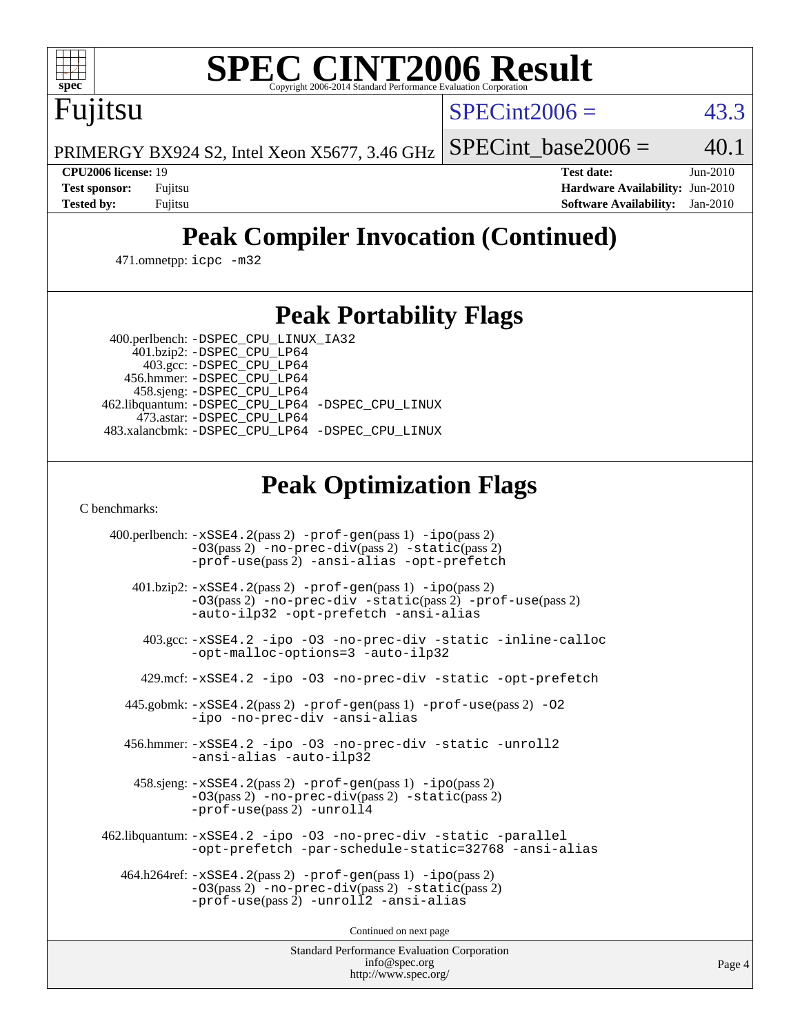

# **[SPEC CINT2006 Result](http://www.spec.org/auto/cpu2006/Docs/result-fields.html#SPECCINT2006Result)**

 $SPECint2006 = 43.3$  $SPECint2006 = 43.3$ 

PRIMERGY BX924 S2, Intel Xeon X5677, 3.46 GHz SPECint base2006 =  $40.1$ 

Fujitsu

**[CPU2006 license:](http://www.spec.org/auto/cpu2006/Docs/result-fields.html#CPU2006license)** 19 **[Test date:](http://www.spec.org/auto/cpu2006/Docs/result-fields.html#Testdate)** Jun-2010 **[Test sponsor:](http://www.spec.org/auto/cpu2006/Docs/result-fields.html#Testsponsor)** Fujitsu **[Hardware Availability:](http://www.spec.org/auto/cpu2006/Docs/result-fields.html#HardwareAvailability)** Jun-2010 **[Tested by:](http://www.spec.org/auto/cpu2006/Docs/result-fields.html#Testedby)** Fujitsu **[Software Availability:](http://www.spec.org/auto/cpu2006/Docs/result-fields.html#SoftwareAvailability)** Jan-2010

# **[Peak Compiler Invocation \(Continued\)](http://www.spec.org/auto/cpu2006/Docs/result-fields.html#PeakCompilerInvocation)**

471.omnetpp: [icpc -m32](http://www.spec.org/cpu2006/results/res2010q3/cpu2006-20100702-12048.flags.html#user_peakCXXLD471_omnetpp_intel_icpc_32bit_4e5a5ef1a53fd332b3c49e69c3330699)

## **[Peak Portability Flags](http://www.spec.org/auto/cpu2006/Docs/result-fields.html#PeakPortabilityFlags)**

400.perlbench: [-DSPEC\\_CPU\\_LINUX\\_IA32](http://www.spec.org/cpu2006/results/res2010q3/cpu2006-20100702-12048.flags.html#b400.perlbench_peakCPORTABILITY_DSPEC_CPU_LINUX_IA32)

 401.bzip2: [-DSPEC\\_CPU\\_LP64](http://www.spec.org/cpu2006/results/res2010q3/cpu2006-20100702-12048.flags.html#suite_peakPORTABILITY401_bzip2_DSPEC_CPU_LP64) 403.gcc: [-DSPEC\\_CPU\\_LP64](http://www.spec.org/cpu2006/results/res2010q3/cpu2006-20100702-12048.flags.html#suite_peakPORTABILITY403_gcc_DSPEC_CPU_LP64) 456.hmmer: [-DSPEC\\_CPU\\_LP64](http://www.spec.org/cpu2006/results/res2010q3/cpu2006-20100702-12048.flags.html#suite_peakPORTABILITY456_hmmer_DSPEC_CPU_LP64) 458.sjeng: [-DSPEC\\_CPU\\_LP64](http://www.spec.org/cpu2006/results/res2010q3/cpu2006-20100702-12048.flags.html#suite_peakPORTABILITY458_sjeng_DSPEC_CPU_LP64) 462.libquantum: [-DSPEC\\_CPU\\_LP64](http://www.spec.org/cpu2006/results/res2010q3/cpu2006-20100702-12048.flags.html#suite_peakPORTABILITY462_libquantum_DSPEC_CPU_LP64) [-DSPEC\\_CPU\\_LINUX](http://www.spec.org/cpu2006/results/res2010q3/cpu2006-20100702-12048.flags.html#b462.libquantum_peakCPORTABILITY_DSPEC_CPU_LINUX) 473.astar: [-DSPEC\\_CPU\\_LP64](http://www.spec.org/cpu2006/results/res2010q3/cpu2006-20100702-12048.flags.html#suite_peakPORTABILITY473_astar_DSPEC_CPU_LP64) 483.xalancbmk: [-DSPEC\\_CPU\\_LP64](http://www.spec.org/cpu2006/results/res2010q3/cpu2006-20100702-12048.flags.html#suite_peakPORTABILITY483_xalancbmk_DSPEC_CPU_LP64) [-DSPEC\\_CPU\\_LINUX](http://www.spec.org/cpu2006/results/res2010q3/cpu2006-20100702-12048.flags.html#b483.xalancbmk_peakCXXPORTABILITY_DSPEC_CPU_LINUX)

# **[Peak Optimization Flags](http://www.spec.org/auto/cpu2006/Docs/result-fields.html#PeakOptimizationFlags)**

[C benchmarks](http://www.spec.org/auto/cpu2006/Docs/result-fields.html#Cbenchmarks):

 400.perlbench: [-xSSE4.2](http://www.spec.org/cpu2006/results/res2010q3/cpu2006-20100702-12048.flags.html#user_peakPASS2_CFLAGSPASS2_LDCFLAGS400_perlbench_f-xSSE42_f91528193cf0b216347adb8b939d4107)(pass 2) [-prof-gen](http://www.spec.org/cpu2006/results/res2010q3/cpu2006-20100702-12048.flags.html#user_peakPASS1_CFLAGSPASS1_LDCFLAGS400_perlbench_prof_gen_e43856698f6ca7b7e442dfd80e94a8fc)(pass 1) [-ipo](http://www.spec.org/cpu2006/results/res2010q3/cpu2006-20100702-12048.flags.html#user_peakPASS2_CFLAGSPASS2_LDCFLAGS400_perlbench_f-ipo)(pass 2) [-O3](http://www.spec.org/cpu2006/results/res2010q3/cpu2006-20100702-12048.flags.html#user_peakPASS2_CFLAGSPASS2_LDCFLAGS400_perlbench_f-O3)(pass 2) [-no-prec-div](http://www.spec.org/cpu2006/results/res2010q3/cpu2006-20100702-12048.flags.html#user_peakPASS2_CFLAGSPASS2_LDCFLAGS400_perlbench_f-no-prec-div)(pass 2) [-static](http://www.spec.org/cpu2006/results/res2010q3/cpu2006-20100702-12048.flags.html#user_peakPASS2_CFLAGSPASS2_LDCFLAGS400_perlbench_f-static)(pass 2) [-prof-use](http://www.spec.org/cpu2006/results/res2010q3/cpu2006-20100702-12048.flags.html#user_peakPASS2_CFLAGSPASS2_LDCFLAGS400_perlbench_prof_use_bccf7792157ff70d64e32fe3e1250b55)(pass 2) [-ansi-alias](http://www.spec.org/cpu2006/results/res2010q3/cpu2006-20100702-12048.flags.html#user_peakCOPTIMIZE400_perlbench_f-ansi-alias) [-opt-prefetch](http://www.spec.org/cpu2006/results/res2010q3/cpu2006-20100702-12048.flags.html#user_peakCOPTIMIZE400_perlbench_f-opt-prefetch) 401.bzip2: [-xSSE4.2](http://www.spec.org/cpu2006/results/res2010q3/cpu2006-20100702-12048.flags.html#user_peakPASS2_CFLAGSPASS2_LDCFLAGS401_bzip2_f-xSSE42_f91528193cf0b216347adb8b939d4107)(pass 2) [-prof-gen](http://www.spec.org/cpu2006/results/res2010q3/cpu2006-20100702-12048.flags.html#user_peakPASS1_CFLAGSPASS1_LDCFLAGS401_bzip2_prof_gen_e43856698f6ca7b7e442dfd80e94a8fc)(pass 1) [-ipo](http://www.spec.org/cpu2006/results/res2010q3/cpu2006-20100702-12048.flags.html#user_peakPASS2_CFLAGSPASS2_LDCFLAGS401_bzip2_f-ipo)(pass 2) [-O3](http://www.spec.org/cpu2006/results/res2010q3/cpu2006-20100702-12048.flags.html#user_peakPASS2_CFLAGSPASS2_LDCFLAGS401_bzip2_f-O3)(pass 2) [-no-prec-div](http://www.spec.org/cpu2006/results/res2010q3/cpu2006-20100702-12048.flags.html#user_peakCOPTIMIZEPASS2_CFLAGSPASS2_LDCFLAGS401_bzip2_f-no-prec-div) [-static](http://www.spec.org/cpu2006/results/res2010q3/cpu2006-20100702-12048.flags.html#user_peakPASS2_CFLAGSPASS2_LDCFLAGS401_bzip2_f-static)(pass 2) [-prof-use](http://www.spec.org/cpu2006/results/res2010q3/cpu2006-20100702-12048.flags.html#user_peakPASS2_CFLAGSPASS2_LDCFLAGS401_bzip2_prof_use_bccf7792157ff70d64e32fe3e1250b55)(pass 2) [-auto-ilp32](http://www.spec.org/cpu2006/results/res2010q3/cpu2006-20100702-12048.flags.html#user_peakCOPTIMIZE401_bzip2_f-auto-ilp32) [-opt-prefetch](http://www.spec.org/cpu2006/results/res2010q3/cpu2006-20100702-12048.flags.html#user_peakCOPTIMIZE401_bzip2_f-opt-prefetch) [-ansi-alias](http://www.spec.org/cpu2006/results/res2010q3/cpu2006-20100702-12048.flags.html#user_peakCOPTIMIZE401_bzip2_f-ansi-alias) 403.gcc: [-xSSE4.2](http://www.spec.org/cpu2006/results/res2010q3/cpu2006-20100702-12048.flags.html#user_peakCOPTIMIZE403_gcc_f-xSSE42_f91528193cf0b216347adb8b939d4107) [-ipo](http://www.spec.org/cpu2006/results/res2010q3/cpu2006-20100702-12048.flags.html#user_peakCOPTIMIZE403_gcc_f-ipo) [-O3](http://www.spec.org/cpu2006/results/res2010q3/cpu2006-20100702-12048.flags.html#user_peakCOPTIMIZE403_gcc_f-O3) [-no-prec-div](http://www.spec.org/cpu2006/results/res2010q3/cpu2006-20100702-12048.flags.html#user_peakCOPTIMIZE403_gcc_f-no-prec-div) [-static](http://www.spec.org/cpu2006/results/res2010q3/cpu2006-20100702-12048.flags.html#user_peakCOPTIMIZE403_gcc_f-static) [-inline-calloc](http://www.spec.org/cpu2006/results/res2010q3/cpu2006-20100702-12048.flags.html#user_peakCOPTIMIZE403_gcc_f-inline-calloc) [-opt-malloc-options=3](http://www.spec.org/cpu2006/results/res2010q3/cpu2006-20100702-12048.flags.html#user_peakCOPTIMIZE403_gcc_f-opt-malloc-options_13ab9b803cf986b4ee62f0a5998c2238) [-auto-ilp32](http://www.spec.org/cpu2006/results/res2010q3/cpu2006-20100702-12048.flags.html#user_peakCOPTIMIZE403_gcc_f-auto-ilp32) 429.mcf: [-xSSE4.2](http://www.spec.org/cpu2006/results/res2010q3/cpu2006-20100702-12048.flags.html#user_peakCOPTIMIZE429_mcf_f-xSSE42_f91528193cf0b216347adb8b939d4107) [-ipo](http://www.spec.org/cpu2006/results/res2010q3/cpu2006-20100702-12048.flags.html#user_peakCOPTIMIZE429_mcf_f-ipo) [-O3](http://www.spec.org/cpu2006/results/res2010q3/cpu2006-20100702-12048.flags.html#user_peakCOPTIMIZE429_mcf_f-O3) [-no-prec-div](http://www.spec.org/cpu2006/results/res2010q3/cpu2006-20100702-12048.flags.html#user_peakCOPTIMIZE429_mcf_f-no-prec-div) [-static](http://www.spec.org/cpu2006/results/res2010q3/cpu2006-20100702-12048.flags.html#user_peakCOPTIMIZE429_mcf_f-static) [-opt-prefetch](http://www.spec.org/cpu2006/results/res2010q3/cpu2006-20100702-12048.flags.html#user_peakCOPTIMIZE429_mcf_f-opt-prefetch) 445.gobmk: [-xSSE4.2](http://www.spec.org/cpu2006/results/res2010q3/cpu2006-20100702-12048.flags.html#user_peakPASS2_CFLAGSPASS2_LDCFLAGS445_gobmk_f-xSSE42_f91528193cf0b216347adb8b939d4107)(pass 2) [-prof-gen](http://www.spec.org/cpu2006/results/res2010q3/cpu2006-20100702-12048.flags.html#user_peakPASS1_CFLAGSPASS1_LDCFLAGS445_gobmk_prof_gen_e43856698f6ca7b7e442dfd80e94a8fc)(pass 1) [-prof-use](http://www.spec.org/cpu2006/results/res2010q3/cpu2006-20100702-12048.flags.html#user_peakPASS2_CFLAGSPASS2_LDCFLAGS445_gobmk_prof_use_bccf7792157ff70d64e32fe3e1250b55)(pass 2) [-O2](http://www.spec.org/cpu2006/results/res2010q3/cpu2006-20100702-12048.flags.html#user_peakCOPTIMIZE445_gobmk_f-O2) [-ipo](http://www.spec.org/cpu2006/results/res2010q3/cpu2006-20100702-12048.flags.html#user_peakCOPTIMIZE445_gobmk_f-ipo) [-no-prec-div](http://www.spec.org/cpu2006/results/res2010q3/cpu2006-20100702-12048.flags.html#user_peakCOPTIMIZE445_gobmk_f-no-prec-div) [-ansi-alias](http://www.spec.org/cpu2006/results/res2010q3/cpu2006-20100702-12048.flags.html#user_peakCOPTIMIZE445_gobmk_f-ansi-alias) 456.hmmer: [-xSSE4.2](http://www.spec.org/cpu2006/results/res2010q3/cpu2006-20100702-12048.flags.html#user_peakCOPTIMIZE456_hmmer_f-xSSE42_f91528193cf0b216347adb8b939d4107) [-ipo](http://www.spec.org/cpu2006/results/res2010q3/cpu2006-20100702-12048.flags.html#user_peakCOPTIMIZE456_hmmer_f-ipo) [-O3](http://www.spec.org/cpu2006/results/res2010q3/cpu2006-20100702-12048.flags.html#user_peakCOPTIMIZE456_hmmer_f-O3) [-no-prec-div](http://www.spec.org/cpu2006/results/res2010q3/cpu2006-20100702-12048.flags.html#user_peakCOPTIMIZE456_hmmer_f-no-prec-div) [-static](http://www.spec.org/cpu2006/results/res2010q3/cpu2006-20100702-12048.flags.html#user_peakCOPTIMIZE456_hmmer_f-static) [-unroll2](http://www.spec.org/cpu2006/results/res2010q3/cpu2006-20100702-12048.flags.html#user_peakCOPTIMIZE456_hmmer_f-unroll_784dae83bebfb236979b41d2422d7ec2) [-ansi-alias](http://www.spec.org/cpu2006/results/res2010q3/cpu2006-20100702-12048.flags.html#user_peakCOPTIMIZE456_hmmer_f-ansi-alias) [-auto-ilp32](http://www.spec.org/cpu2006/results/res2010q3/cpu2006-20100702-12048.flags.html#user_peakCOPTIMIZE456_hmmer_f-auto-ilp32) 458.sjeng: [-xSSE4.2](http://www.spec.org/cpu2006/results/res2010q3/cpu2006-20100702-12048.flags.html#user_peakPASS2_CFLAGSPASS2_LDCFLAGS458_sjeng_f-xSSE42_f91528193cf0b216347adb8b939d4107)(pass 2) [-prof-gen](http://www.spec.org/cpu2006/results/res2010q3/cpu2006-20100702-12048.flags.html#user_peakPASS1_CFLAGSPASS1_LDCFLAGS458_sjeng_prof_gen_e43856698f6ca7b7e442dfd80e94a8fc)(pass 1) [-ipo](http://www.spec.org/cpu2006/results/res2010q3/cpu2006-20100702-12048.flags.html#user_peakPASS2_CFLAGSPASS2_LDCFLAGS458_sjeng_f-ipo)(pass 2) [-O3](http://www.spec.org/cpu2006/results/res2010q3/cpu2006-20100702-12048.flags.html#user_peakPASS2_CFLAGSPASS2_LDCFLAGS458_sjeng_f-O3)(pass 2) [-no-prec-div](http://www.spec.org/cpu2006/results/res2010q3/cpu2006-20100702-12048.flags.html#user_peakPASS2_CFLAGSPASS2_LDCFLAGS458_sjeng_f-no-prec-div)(pass 2) [-static](http://www.spec.org/cpu2006/results/res2010q3/cpu2006-20100702-12048.flags.html#user_peakPASS2_CFLAGSPASS2_LDCFLAGS458_sjeng_f-static)(pass 2) [-prof-use](http://www.spec.org/cpu2006/results/res2010q3/cpu2006-20100702-12048.flags.html#user_peakPASS2_CFLAGSPASS2_LDCFLAGS458_sjeng_prof_use_bccf7792157ff70d64e32fe3e1250b55)(pass 2) [-unroll4](http://www.spec.org/cpu2006/results/res2010q3/cpu2006-20100702-12048.flags.html#user_peakCOPTIMIZE458_sjeng_f-unroll_4e5e4ed65b7fd20bdcd365bec371b81f) 462.libquantum: [-xSSE4.2](http://www.spec.org/cpu2006/results/res2010q3/cpu2006-20100702-12048.flags.html#user_peakCOPTIMIZE462_libquantum_f-xSSE42_f91528193cf0b216347adb8b939d4107) [-ipo](http://www.spec.org/cpu2006/results/res2010q3/cpu2006-20100702-12048.flags.html#user_peakCOPTIMIZE462_libquantum_f-ipo) [-O3](http://www.spec.org/cpu2006/results/res2010q3/cpu2006-20100702-12048.flags.html#user_peakCOPTIMIZE462_libquantum_f-O3) [-no-prec-div](http://www.spec.org/cpu2006/results/res2010q3/cpu2006-20100702-12048.flags.html#user_peakCOPTIMIZE462_libquantum_f-no-prec-div) [-static](http://www.spec.org/cpu2006/results/res2010q3/cpu2006-20100702-12048.flags.html#user_peakCOPTIMIZE462_libquantum_f-static) [-parallel](http://www.spec.org/cpu2006/results/res2010q3/cpu2006-20100702-12048.flags.html#user_peakCOPTIMIZE462_libquantum_f-parallel) [-opt-prefetch](http://www.spec.org/cpu2006/results/res2010q3/cpu2006-20100702-12048.flags.html#user_peakCOPTIMIZE462_libquantum_f-opt-prefetch) [-par-schedule-static=32768](http://www.spec.org/cpu2006/results/res2010q3/cpu2006-20100702-12048.flags.html#user_peakCOPTIMIZE462_libquantum_f-par-schedule_9386bcd99ba64e99ee01d1aafefddd14) [-ansi-alias](http://www.spec.org/cpu2006/results/res2010q3/cpu2006-20100702-12048.flags.html#user_peakCOPTIMIZE462_libquantum_f-ansi-alias) 464.h264ref: [-xSSE4.2](http://www.spec.org/cpu2006/results/res2010q3/cpu2006-20100702-12048.flags.html#user_peakPASS2_CFLAGSPASS2_LDCFLAGS464_h264ref_f-xSSE42_f91528193cf0b216347adb8b939d4107)(pass 2) [-prof-gen](http://www.spec.org/cpu2006/results/res2010q3/cpu2006-20100702-12048.flags.html#user_peakPASS1_CFLAGSPASS1_LDCFLAGS464_h264ref_prof_gen_e43856698f6ca7b7e442dfd80e94a8fc)(pass 1) [-ipo](http://www.spec.org/cpu2006/results/res2010q3/cpu2006-20100702-12048.flags.html#user_peakPASS2_CFLAGSPASS2_LDCFLAGS464_h264ref_f-ipo)(pass 2) [-O3](http://www.spec.org/cpu2006/results/res2010q3/cpu2006-20100702-12048.flags.html#user_peakPASS2_CFLAGSPASS2_LDCFLAGS464_h264ref_f-O3)(pass 2) [-no-prec-div](http://www.spec.org/cpu2006/results/res2010q3/cpu2006-20100702-12048.flags.html#user_peakPASS2_CFLAGSPASS2_LDCFLAGS464_h264ref_f-no-prec-div)(pass 2) [-static](http://www.spec.org/cpu2006/results/res2010q3/cpu2006-20100702-12048.flags.html#user_peakPASS2_CFLAGSPASS2_LDCFLAGS464_h264ref_f-static)(pass 2) [-prof-use](http://www.spec.org/cpu2006/results/res2010q3/cpu2006-20100702-12048.flags.html#user_peakPASS2_CFLAGSPASS2_LDCFLAGS464_h264ref_prof_use_bccf7792157ff70d64e32fe3e1250b55)(pass 2) [-unroll2](http://www.spec.org/cpu2006/results/res2010q3/cpu2006-20100702-12048.flags.html#user_peakCOPTIMIZE464_h264ref_f-unroll_784dae83bebfb236979b41d2422d7ec2) [-ansi-alias](http://www.spec.org/cpu2006/results/res2010q3/cpu2006-20100702-12048.flags.html#user_peakCOPTIMIZE464_h264ref_f-ansi-alias)

Continued on next page

Standard Performance Evaluation Corporation [info@spec.org](mailto:info@spec.org) <http://www.spec.org/>